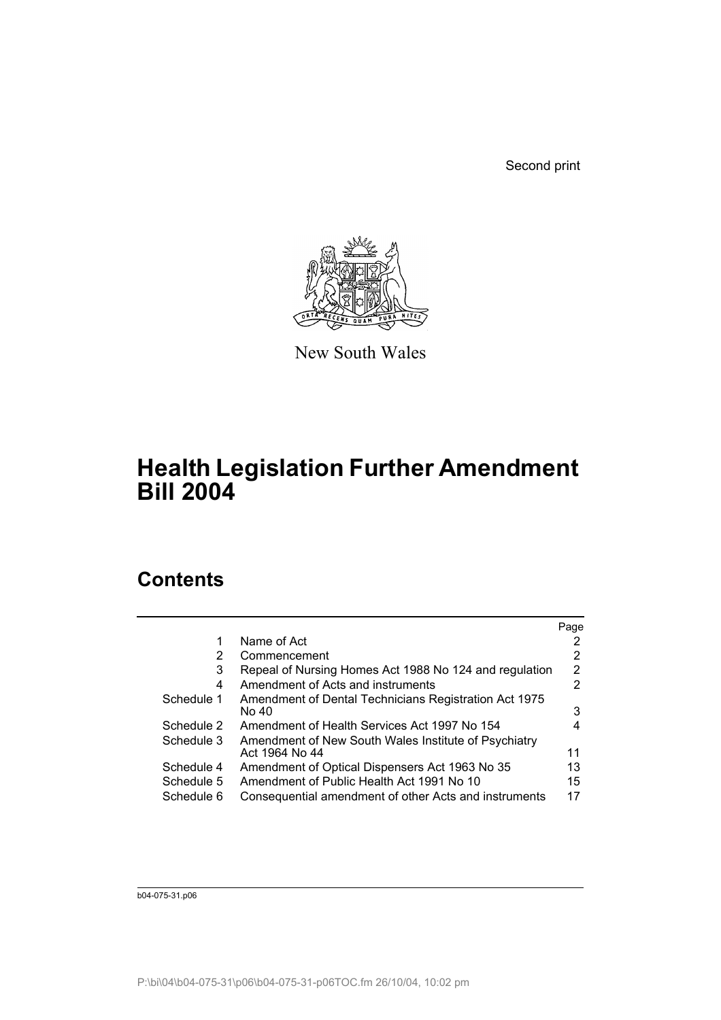Second print



New South Wales

# **Health Legislation Further Amendment Bill 2004**

## **Contents**

|                                                                | Page |
|----------------------------------------------------------------|------|
| Name of Act                                                    |      |
| Commencement                                                   | 2    |
| Repeal of Nursing Homes Act 1988 No 124 and regulation         | 2    |
| Amendment of Acts and instruments                              | 2    |
| Amendment of Dental Technicians Registration Act 1975<br>No 40 | 3    |
| Amendment of Health Services Act 1997 No 154                   | 4    |
| Amendment of New South Wales Institute of Psychiatry           |      |
| Act 1964 No 44                                                 | 11   |
| Amendment of Optical Dispensers Act 1963 No 35                 | 13   |
| Amendment of Public Health Act 1991 No 10                      | 15   |
| Consequential amendment of other Acts and instruments          | 17   |
|                                                                |      |

b04-075-31.p06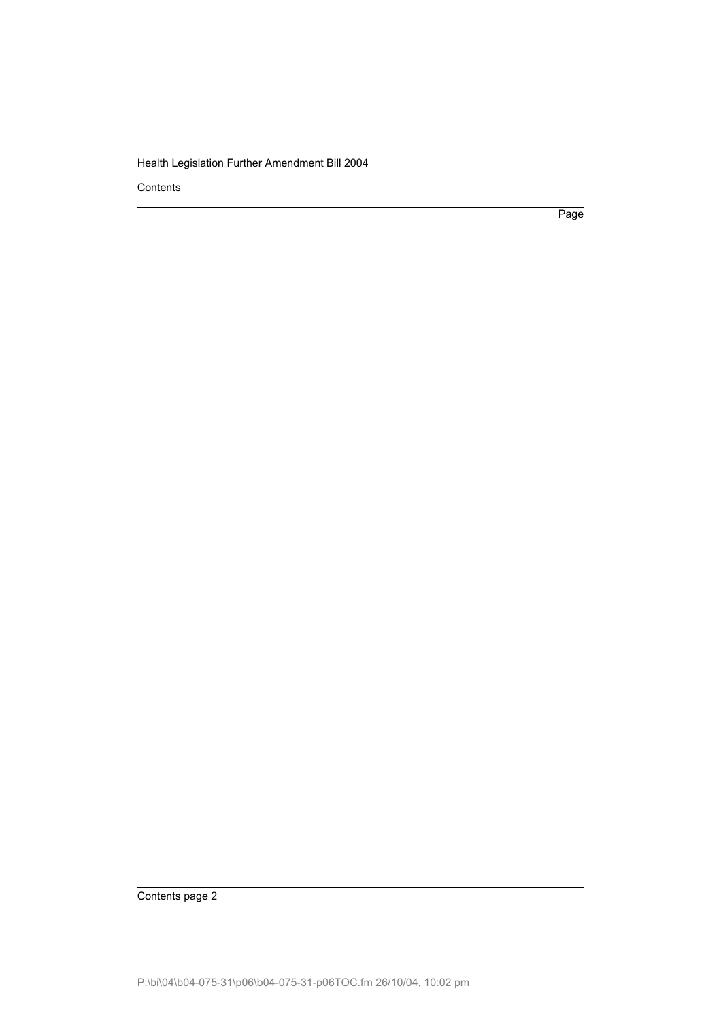**Contents** 

Page

Contents page 2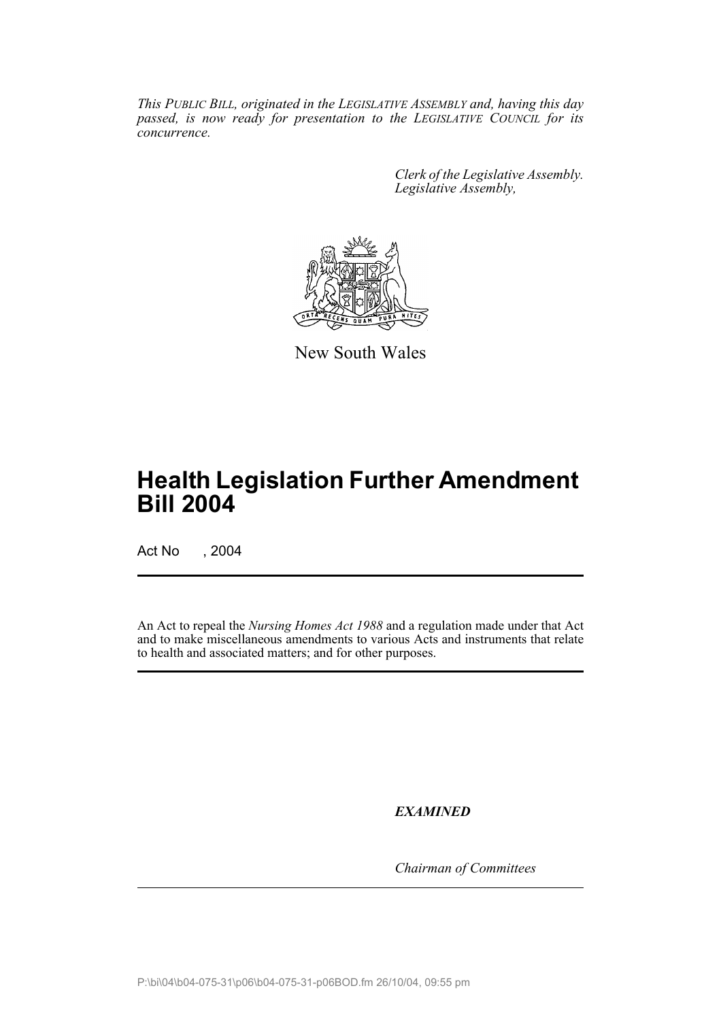*This PUBLIC BILL, originated in the LEGISLATIVE ASSEMBLY and, having this day passed, is now ready for presentation to the LEGISLATIVE COUNCIL for its concurrence.*

> *Clerk of the Legislative Assembly. Legislative Assembly,*



New South Wales

## **Health Legislation Further Amendment Bill 2004**

Act No , 2004

An Act to repeal the *Nursing Homes Act 1988* and a regulation made under that Act and to make miscellaneous amendments to various Acts and instruments that relate to health and associated matters; and for other purposes.

*EXAMINED*

*Chairman of Committees*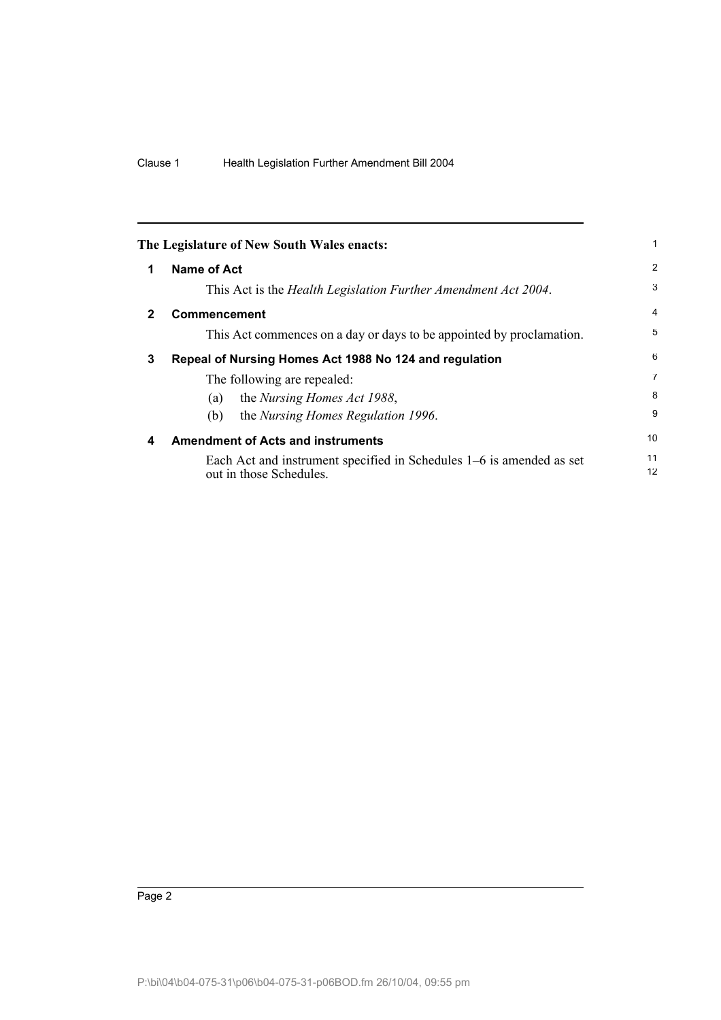<span id="page-3-3"></span><span id="page-3-2"></span><span id="page-3-1"></span><span id="page-3-0"></span>

|              | The Legislature of New South Wales enacts:                                                      |                |
|--------------|-------------------------------------------------------------------------------------------------|----------------|
| 1            | Name of Act                                                                                     | 2              |
|              | This Act is the <i>Health Legislation Further Amendment Act 2004</i> .                          | 3              |
| $\mathbf{2}$ | <b>Commencement</b>                                                                             | $\overline{4}$ |
|              | This Act commences on a day or days to be appointed by proclamation.                            | 5              |
| 3            | Repeal of Nursing Homes Act 1988 No 124 and regulation                                          | 6              |
|              | The following are repealed:                                                                     | 7              |
|              | the Nursing Homes Act 1988,<br>(a)                                                              | 8              |
|              | the Nursing Homes Regulation 1996.<br>(b)                                                       | 9              |
| 4            | <b>Amendment of Acts and instruments</b>                                                        | 10             |
|              | Each Act and instrument specified in Schedules 1–6 is amended as set<br>out in those Schedules. | 11<br>12       |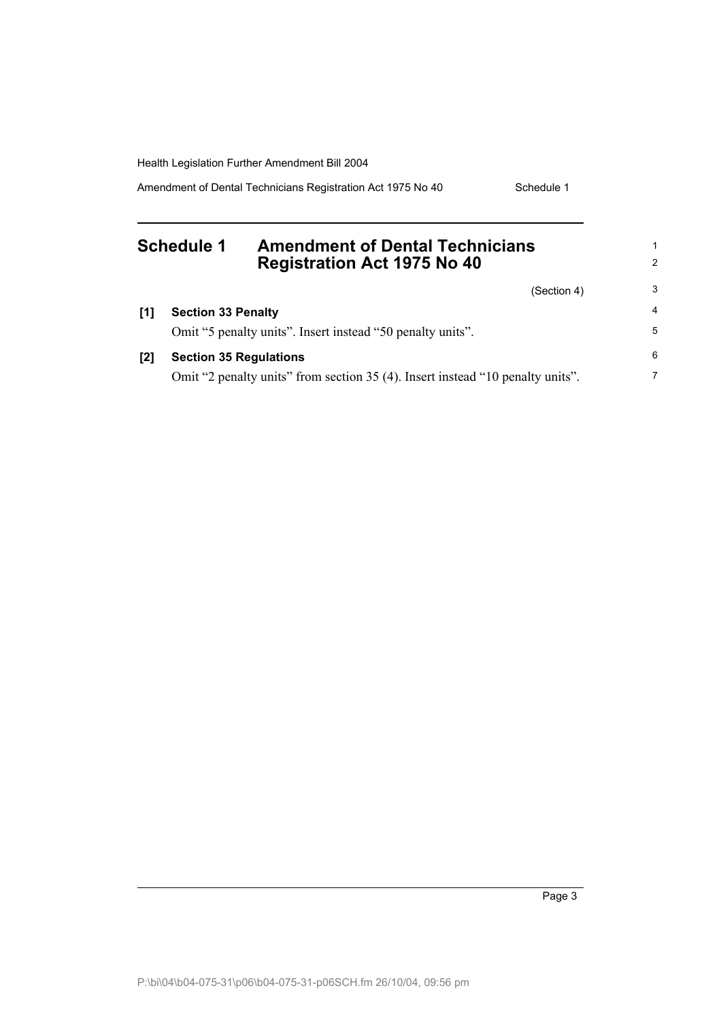Amendment of Dental Technicians Registration Act 1975 No 40 Schedule 1

#### <span id="page-4-0"></span>**Schedule 1 Amendment of Dental Technicians Registration Act 1975 No 40** (Section 4) **[1] Section 33 Penalty** Omit "5 penalty units". Insert instead "50 penalty units". **[2] Section 35 Regulations** Omit "2 penalty units" from section 35 (4). Insert instead "10 penalty units". 1  $\overline{2}$ 3 4 5 6 7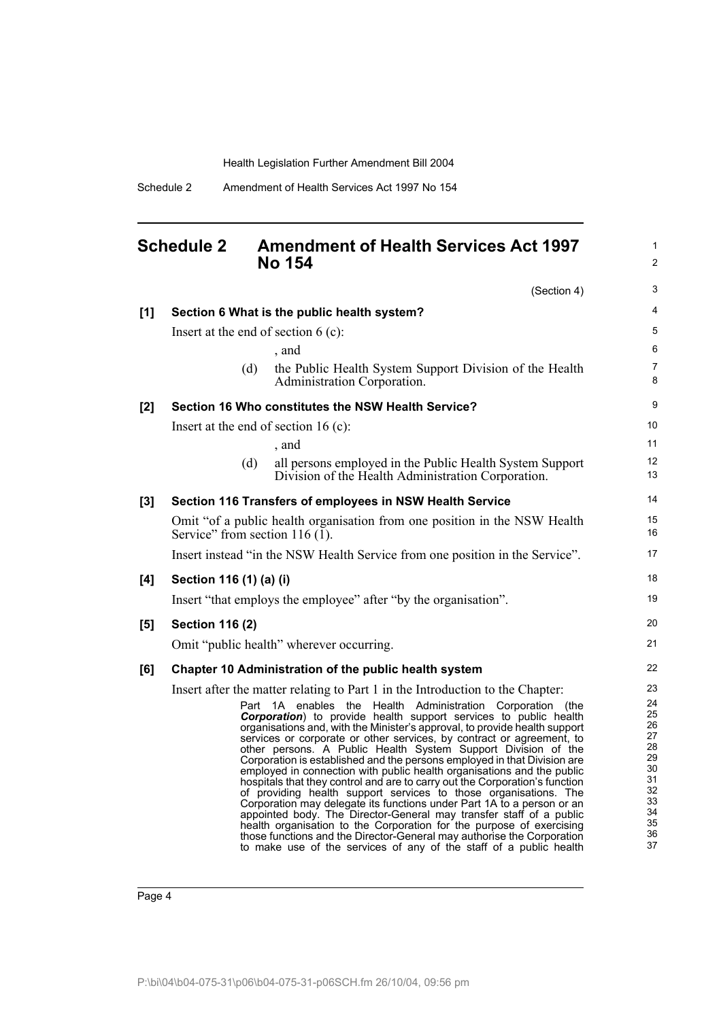### <span id="page-5-0"></span>**Schedule 2 Amendment of Health Services Act 1997 No 154**

1  $\overline{2}$ 

|       | (Section 4)                                                                                                                                                                                                                                                                                                                                                                                                                                                                                                                                                                                                                                                                                                                                                                                                                                                                                                                                                                                                                                      | 3                                                                                |
|-------|--------------------------------------------------------------------------------------------------------------------------------------------------------------------------------------------------------------------------------------------------------------------------------------------------------------------------------------------------------------------------------------------------------------------------------------------------------------------------------------------------------------------------------------------------------------------------------------------------------------------------------------------------------------------------------------------------------------------------------------------------------------------------------------------------------------------------------------------------------------------------------------------------------------------------------------------------------------------------------------------------------------------------------------------------|----------------------------------------------------------------------------------|
| [1]   | Section 6 What is the public health system?                                                                                                                                                                                                                                                                                                                                                                                                                                                                                                                                                                                                                                                                                                                                                                                                                                                                                                                                                                                                      | 4                                                                                |
|       | Insert at the end of section $6$ (c):                                                                                                                                                                                                                                                                                                                                                                                                                                                                                                                                                                                                                                                                                                                                                                                                                                                                                                                                                                                                            | 5                                                                                |
|       | , and                                                                                                                                                                                                                                                                                                                                                                                                                                                                                                                                                                                                                                                                                                                                                                                                                                                                                                                                                                                                                                            | 6                                                                                |
|       | the Public Health System Support Division of the Health<br>(d)<br>Administration Corporation.                                                                                                                                                                                                                                                                                                                                                                                                                                                                                                                                                                                                                                                                                                                                                                                                                                                                                                                                                    | 7<br>8                                                                           |
| $[2]$ | Section 16 Who constitutes the NSW Health Service?                                                                                                                                                                                                                                                                                                                                                                                                                                                                                                                                                                                                                                                                                                                                                                                                                                                                                                                                                                                               | 9                                                                                |
|       | Insert at the end of section 16 (c):                                                                                                                                                                                                                                                                                                                                                                                                                                                                                                                                                                                                                                                                                                                                                                                                                                                                                                                                                                                                             | 10                                                                               |
|       | , and                                                                                                                                                                                                                                                                                                                                                                                                                                                                                                                                                                                                                                                                                                                                                                                                                                                                                                                                                                                                                                            | 11                                                                               |
|       | all persons employed in the Public Health System Support<br>(d)<br>Division of the Health Administration Corporation.                                                                                                                                                                                                                                                                                                                                                                                                                                                                                                                                                                                                                                                                                                                                                                                                                                                                                                                            | 12<br>13                                                                         |
| $[3]$ | Section 116 Transfers of employees in NSW Health Service                                                                                                                                                                                                                                                                                                                                                                                                                                                                                                                                                                                                                                                                                                                                                                                                                                                                                                                                                                                         | 14                                                                               |
|       | Omit "of a public health organisation from one position in the NSW Health<br>Service" from section 116 $(1)$ .                                                                                                                                                                                                                                                                                                                                                                                                                                                                                                                                                                                                                                                                                                                                                                                                                                                                                                                                   | 15<br>16                                                                         |
|       | Insert instead "in the NSW Health Service from one position in the Service".                                                                                                                                                                                                                                                                                                                                                                                                                                                                                                                                                                                                                                                                                                                                                                                                                                                                                                                                                                     | 17                                                                               |
| [4]   | Section 116 (1) (a) (i)                                                                                                                                                                                                                                                                                                                                                                                                                                                                                                                                                                                                                                                                                                                                                                                                                                                                                                                                                                                                                          | 18                                                                               |
|       | Insert "that employs the employee" after "by the organisation".                                                                                                                                                                                                                                                                                                                                                                                                                                                                                                                                                                                                                                                                                                                                                                                                                                                                                                                                                                                  | 19                                                                               |
| [5]   | <b>Section 116 (2)</b>                                                                                                                                                                                                                                                                                                                                                                                                                                                                                                                                                                                                                                                                                                                                                                                                                                                                                                                                                                                                                           | 20                                                                               |
|       | Omit "public health" wherever occurring.                                                                                                                                                                                                                                                                                                                                                                                                                                                                                                                                                                                                                                                                                                                                                                                                                                                                                                                                                                                                         | 21                                                                               |
| [6]   | Chapter 10 Administration of the public health system                                                                                                                                                                                                                                                                                                                                                                                                                                                                                                                                                                                                                                                                                                                                                                                                                                                                                                                                                                                            | 22                                                                               |
|       | Insert after the matter relating to Part 1 in the Introduction to the Chapter:                                                                                                                                                                                                                                                                                                                                                                                                                                                                                                                                                                                                                                                                                                                                                                                                                                                                                                                                                                   | 23                                                                               |
|       | Part 1A enables the Health Administration Corporation (the<br><b>Corporation</b> ) to provide health support services to public health<br>organisations and, with the Minister's approval, to provide health support<br>services or corporate or other services, by contract or agreement, to<br>other persons. A Public Health System Support Division of the<br>Corporation is established and the persons employed in that Division are<br>employed in connection with public health organisations and the public<br>hospitals that they control and are to carry out the Corporation's function<br>of providing health support services to those organisations. The<br>Corporation may delegate its functions under Part 1A to a person or an<br>appointed body. The Director-General may transfer staff of a public<br>health organisation to the Corporation for the purpose of exercising<br>those functions and the Director-General may authorise the Corporation<br>to make use of the services of any of the staff of a public health | 24<br>25<br>26<br>27<br>28<br>29<br>30<br>31<br>32<br>33<br>34<br>35<br>36<br>37 |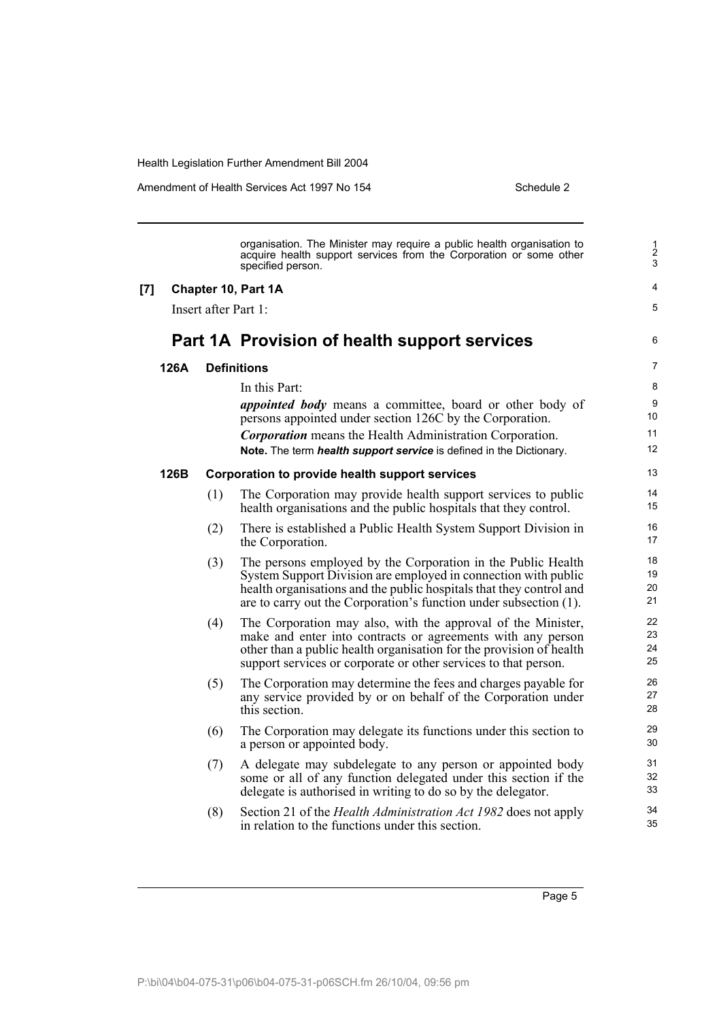Amendment of Health Services Act 1997 No 154 Schedule 2

|     |      |                      | organisation. The Minister may require a public health organisation to<br>acquire health support services from the Corporation or some other<br>specified person.                                                                                                                      | $\frac{1}{2}$<br>$\mathsf 3$ |
|-----|------|----------------------|----------------------------------------------------------------------------------------------------------------------------------------------------------------------------------------------------------------------------------------------------------------------------------------|------------------------------|
| [7] |      |                      | Chapter 10, Part 1A                                                                                                                                                                                                                                                                    | 4                            |
|     |      | Insert after Part 1: |                                                                                                                                                                                                                                                                                        | 5                            |
|     |      |                      | Part 1A Provision of health support services                                                                                                                                                                                                                                           | 6                            |
|     | 126A |                      | <b>Definitions</b>                                                                                                                                                                                                                                                                     | $\overline{7}$               |
|     |      |                      | In this Part:<br><i>appointed body</i> means a committee, board or other body of<br>persons appointed under section 126C by the Corporation.<br><b>Corporation</b> means the Health Administration Corporation.<br>Note. The term health support service is defined in the Dictionary. | 8<br>9<br>10<br>11<br>12     |
|     | 126B |                      | Corporation to provide health support services                                                                                                                                                                                                                                         | 13                           |
|     |      | (1)                  | The Corporation may provide health support services to public<br>health organisations and the public hospitals that they control.                                                                                                                                                      | 14<br>15                     |
|     |      | (2)                  | There is established a Public Health System Support Division in<br>the Corporation.                                                                                                                                                                                                    | 16<br>17                     |
|     |      | (3)                  | The persons employed by the Corporation in the Public Health<br>System Support Division are employed in connection with public<br>health organisations and the public hospitals that they control and<br>are to carry out the Corporation's function under subsection (1).             | 18<br>19<br>20<br>21         |
|     |      | (4)                  | The Corporation may also, with the approval of the Minister,<br>make and enter into contracts or agreements with any person<br>other than a public health organisation for the provision of health<br>support services or corporate or other services to that person.                  | 22<br>23<br>24<br>25         |
|     |      | (5)                  | The Corporation may determine the fees and charges payable for<br>any service provided by or on behalf of the Corporation under<br>this section.                                                                                                                                       | 26<br>27<br>28               |
|     |      | (6)                  | The Corporation may delegate its functions under this section to<br>a person or appointed body.                                                                                                                                                                                        | 29<br>30                     |
|     |      | (7)                  | A delegate may subdelegate to any person or appointed body<br>some or all of any function delegated under this section if the<br>delegate is authorised in writing to do so by the delegator.                                                                                          | 31<br>32<br>33               |
|     |      | (8)                  | Section 21 of the <i>Health Administration Act 1982</i> does not apply<br>in relation to the functions under this section.                                                                                                                                                             | 34<br>35                     |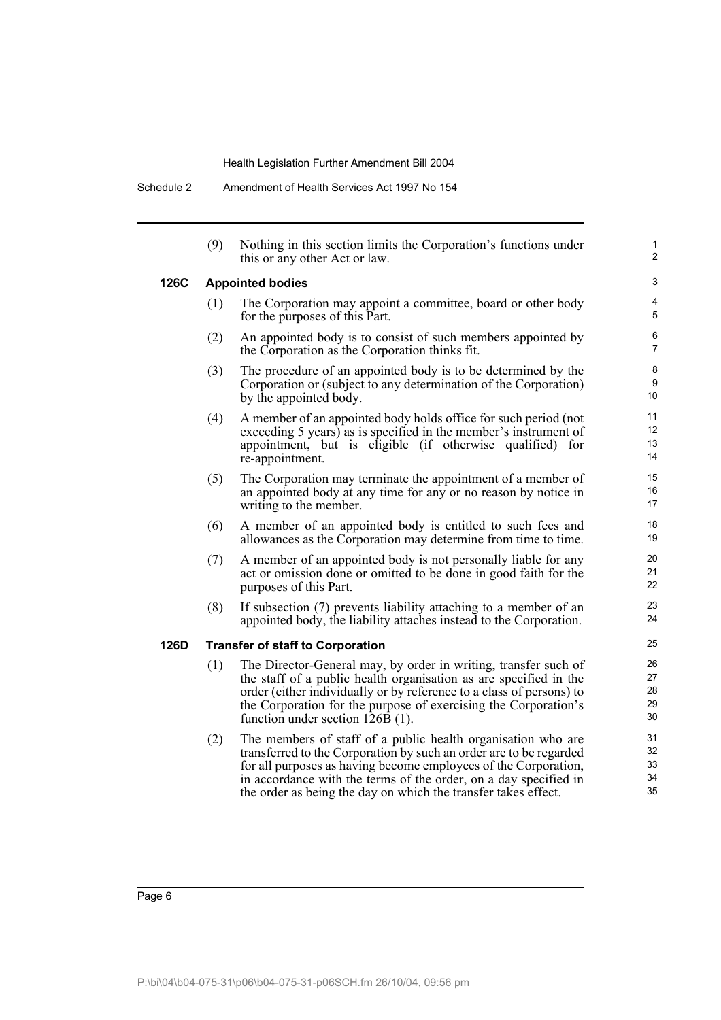|      | (9)                     | Nothing in this section limits the Corporation's functions under<br>this or any other Act or law.                                                                                                                                                                                                                                | $\mathbf{1}$<br>$\overline{c}$ |  |  |  |  |
|------|-------------------------|----------------------------------------------------------------------------------------------------------------------------------------------------------------------------------------------------------------------------------------------------------------------------------------------------------------------------------|--------------------------------|--|--|--|--|
| 126C | <b>Appointed bodies</b> |                                                                                                                                                                                                                                                                                                                                  |                                |  |  |  |  |
|      | (1)                     | The Corporation may appoint a committee, board or other body<br>for the purposes of this Part.                                                                                                                                                                                                                                   | 4<br>$\overline{5}$            |  |  |  |  |
|      | (2)                     | An appointed body is to consist of such members appointed by<br>the Corporation as the Corporation thinks fit.                                                                                                                                                                                                                   | 6<br>$\overline{7}$            |  |  |  |  |
|      | (3)                     | The procedure of an appointed body is to be determined by the<br>Corporation or (subject to any determination of the Corporation)<br>by the appointed body.                                                                                                                                                                      | 8<br>9<br>10                   |  |  |  |  |
|      | (4)                     | A member of an appointed body holds office for such period (not<br>exceeding 5 years) as is specified in the member's instrument of<br>appointment, but is eligible (if otherwise qualified) for<br>re-appointment.                                                                                                              | 11<br>12<br>13<br>14           |  |  |  |  |
|      | (5)                     | The Corporation may terminate the appointment of a member of<br>an appointed body at any time for any or no reason by notice in<br>writing to the member.                                                                                                                                                                        | 15<br>16<br>17                 |  |  |  |  |
|      | (6)                     | A member of an appointed body is entitled to such fees and<br>allowances as the Corporation may determine from time to time.                                                                                                                                                                                                     | 18<br>19                       |  |  |  |  |
|      | (7)                     | A member of an appointed body is not personally liable for any<br>act or omission done or omitted to be done in good faith for the<br>purposes of this Part.                                                                                                                                                                     | 20<br>21<br>22                 |  |  |  |  |
|      | (8)                     | If subsection (7) prevents liability attaching to a member of an<br>appointed body, the liability attaches instead to the Corporation.                                                                                                                                                                                           | 23<br>24                       |  |  |  |  |
| 126D |                         | <b>Transfer of staff to Corporation</b>                                                                                                                                                                                                                                                                                          | 25                             |  |  |  |  |
|      | (1)                     | The Director-General may, by order in writing, transfer such of<br>the staff of a public health organisation as are specified in the<br>order (either individually or by reference to a class of persons) to<br>the Corporation for the purpose of exercising the Corporation's<br>function under section $126\overline{B}$ (1). | 26<br>27<br>28<br>29<br>30     |  |  |  |  |

(2) The members of staff of a public health organisation who are transferred to the Corporation by such an order are to be regarded for all purposes as having become employees of the Corporation, in accordance with the terms of the order, on a day specified in the order as being the day on which the transfer takes effect.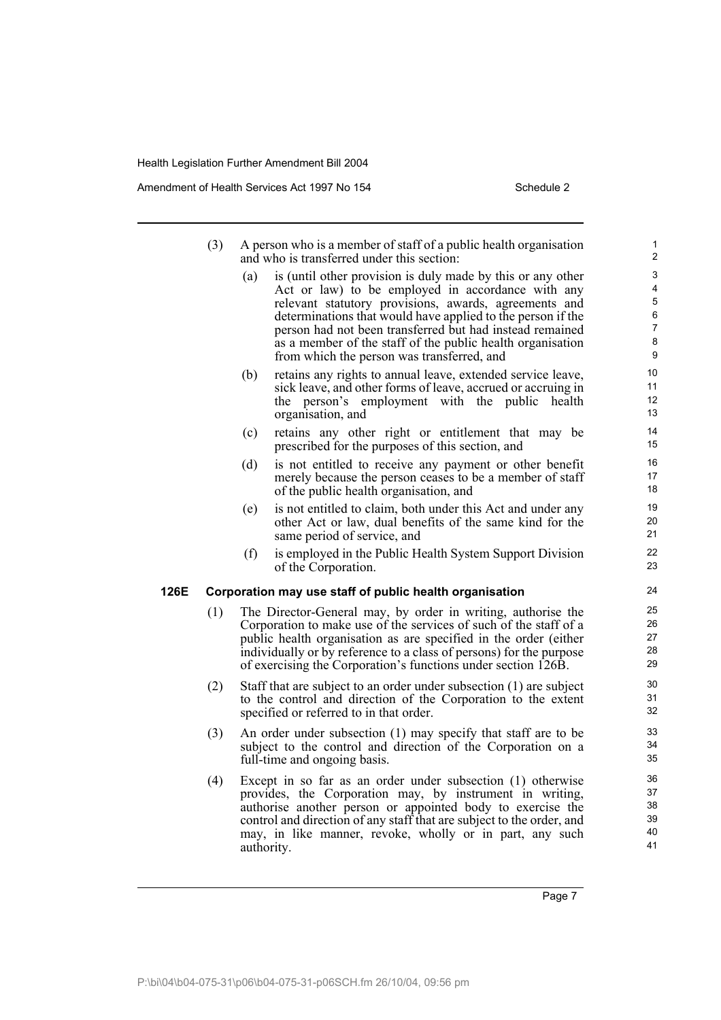Amendment of Health Services Act 1997 No 154 Schedule 2

- (3) A person who is a member of staff of a public health organisation and who is transferred under this section:
	- (a) is (until other provision is duly made by this or any other Act or law) to be employed in accordance with any relevant statutory provisions, awards, agreements and determinations that would have applied to the person if the person had not been transferred but had instead remained as a member of the staff of the public health organisation from which the person was transferred, and
	- (b) retains any rights to annual leave, extended service leave, sick leave, and other forms of leave, accrued or accruing in the person's employment with the public health organisation, and
	- (c) retains any other right or entitlement that may be prescribed for the purposes of this section, and
	- (d) is not entitled to receive any payment or other benefit merely because the person ceases to be a member of staff of the public health organisation, and
	- (e) is not entitled to claim, both under this Act and under any other Act or law, dual benefits of the same kind for the same period of service, and
	- (f) is employed in the Public Health System Support Division of the Corporation.

#### **126E Corporation may use staff of public health organisation**

- (1) The Director-General may, by order in writing, authorise the Corporation to make use of the services of such of the staff of a public health organisation as are specified in the order (either individually or by reference to a class of persons) for the purpose of exercising the Corporation's functions under section 126B.
- (2) Staff that are subject to an order under subsection (1) are subject to the control and direction of the Corporation to the extent specified or referred to in that order.
- (3) An order under subsection (1) may specify that staff are to be subject to the control and direction of the Corporation on a full-time and ongoing basis.
- (4) Except in so far as an order under subsection (1) otherwise provides, the Corporation may, by instrument in writing, authorise another person or appointed body to exercise the control and direction of any staff that are subject to the order, and may, in like manner, revoke, wholly or in part, any such authority.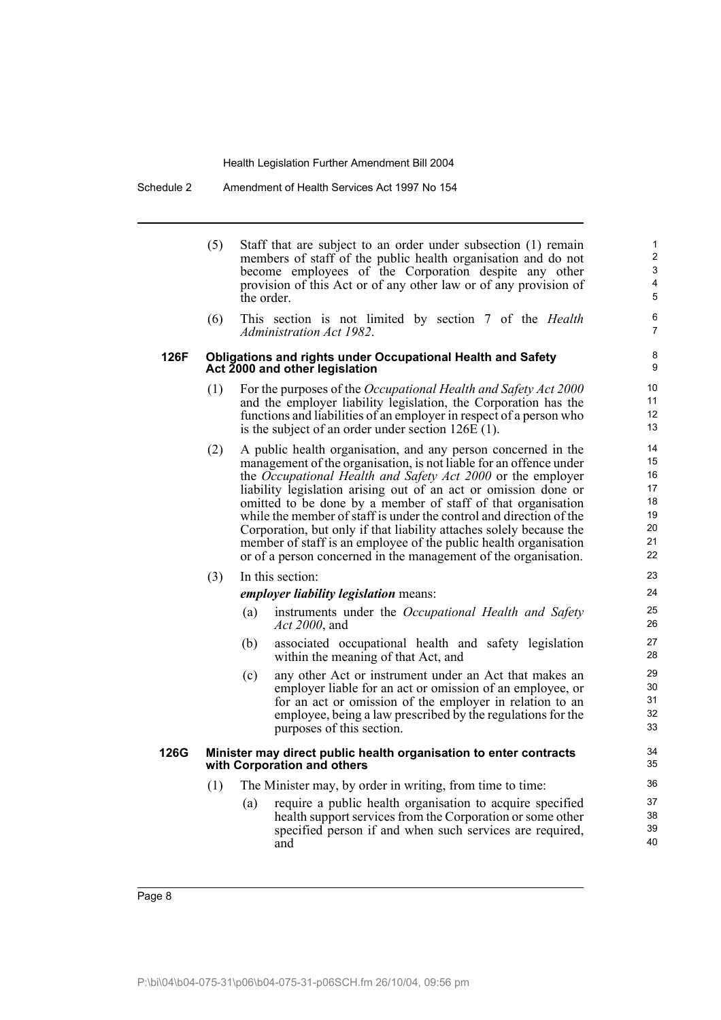Schedule 2 Amendment of Health Services Act 1997 No 154

|      | (5) | Staff that are subject to an order under subsection (1) remain<br>members of staff of the public health organisation and do not<br>become employees of the Corporation despite any other<br>provision of this Act or of any other law or of any provision of<br>the order.                                                                                                                                                                                                                                                                                                                                                 | 1<br>$\overline{\mathbf{c}}$<br>3<br>4<br>5        |
|------|-----|----------------------------------------------------------------------------------------------------------------------------------------------------------------------------------------------------------------------------------------------------------------------------------------------------------------------------------------------------------------------------------------------------------------------------------------------------------------------------------------------------------------------------------------------------------------------------------------------------------------------------|----------------------------------------------------|
|      | (6) | This section is not limited by section 7 of the <i>Health</i><br>Administration Act 1982.                                                                                                                                                                                                                                                                                                                                                                                                                                                                                                                                  | 6<br>$\overline{7}$                                |
| 126F |     | <b>Obligations and rights under Occupational Health and Safety</b><br>Act 2000 and other legislation                                                                                                                                                                                                                                                                                                                                                                                                                                                                                                                       | 8<br>9                                             |
|      | (1) | For the purposes of the <i>Occupational Health and Safety Act 2000</i><br>and the employer liability legislation, the Corporation has the<br>functions and liabilities of an employer in respect of a person who<br>is the subject of an order under section $126E(1)$ .                                                                                                                                                                                                                                                                                                                                                   | 10<br>11<br>12<br>13                               |
|      | (2) | A public health organisation, and any person concerned in the<br>management of the organisation, is not liable for an offence under<br>the Occupational Health and Safety Act 2000 or the employer<br>liability legislation arising out of an act or omission done or<br>omitted to be done by a member of staff of that organisation<br>while the member of staff is under the control and direction of the<br>Corporation, but only if that liability attaches solely because the<br>member of staff is an employee of the public health organisation<br>or of a person concerned in the management of the organisation. | 14<br>15<br>16<br>17<br>18<br>19<br>20<br>21<br>22 |
|      | (3) | In this section:                                                                                                                                                                                                                                                                                                                                                                                                                                                                                                                                                                                                           | 23                                                 |
|      |     | <i>employer liability legislation means:</i>                                                                                                                                                                                                                                                                                                                                                                                                                                                                                                                                                                               | 24                                                 |
|      |     | instruments under the Occupational Health and Safety<br>(a)<br><i>Act 2000</i> , and                                                                                                                                                                                                                                                                                                                                                                                                                                                                                                                                       | 25<br>26                                           |
|      |     | (b)<br>associated occupational health and safety legislation<br>within the meaning of that Act, and                                                                                                                                                                                                                                                                                                                                                                                                                                                                                                                        | 27<br>28                                           |
|      |     | (c)<br>any other Act or instrument under an Act that makes an<br>employer liable for an act or omission of an employee, or<br>for an act or omission of the employer in relation to an<br>employee, being a law prescribed by the regulations for the<br>purposes of this section.                                                                                                                                                                                                                                                                                                                                         | 29<br>30<br>31<br>32<br>33                         |
| 126G |     | Minister may direct public health organisation to enter contracts<br>with Corporation and others                                                                                                                                                                                                                                                                                                                                                                                                                                                                                                                           | 34<br>35                                           |
|      | (1) | The Minister may, by order in writing, from time to time:                                                                                                                                                                                                                                                                                                                                                                                                                                                                                                                                                                  | 36                                                 |
|      |     | require a public health organisation to acquire specified<br>(a)<br>health support services from the Corporation or some other<br>specified person if and when such services are required,<br>and                                                                                                                                                                                                                                                                                                                                                                                                                          | 37<br>38<br>39<br>40                               |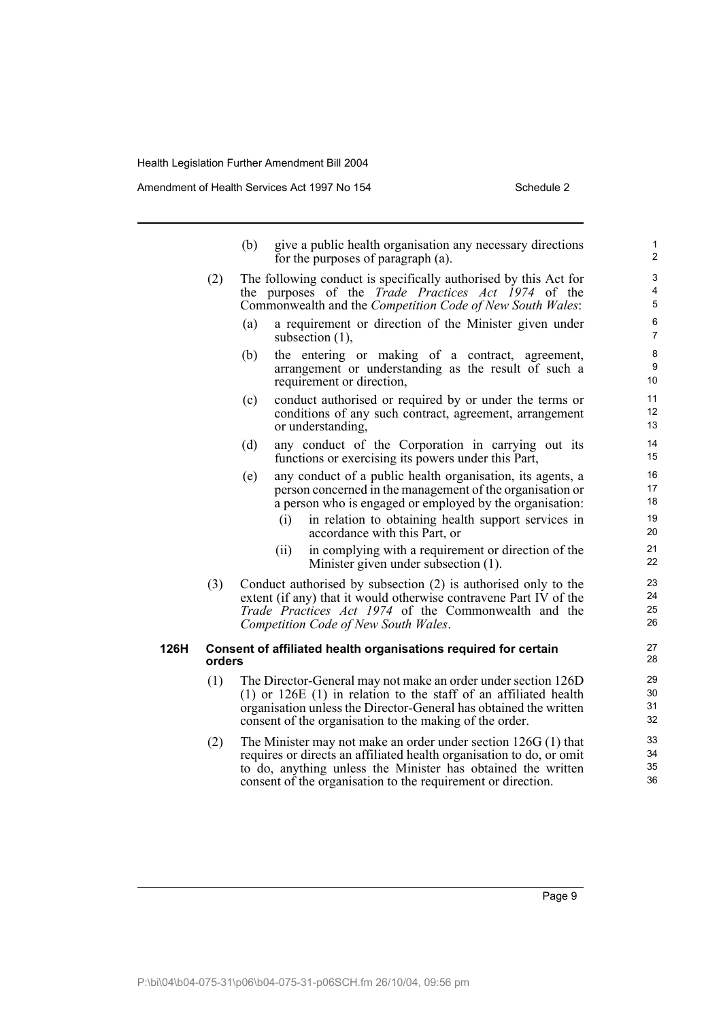Amendment of Health Services Act 1997 No 154 Schedule 2

(b) give a public health organisation any necessary directions for the purposes of paragraph (a). (2) The following conduct is specifically authorised by this Act for the purposes of the *Trade Practices Act 1974* of the Commonwealth and the *Competition Code of New South Wales*: (a) a requirement or direction of the Minister given under subsection  $(1)$ , (b) the entering or making of a contract, agreement, arrangement or understanding as the result of such a requirement or direction, (c) conduct authorised or required by or under the terms or conditions of any such contract, agreement, arrangement or understanding, (d) any conduct of the Corporation in carrying out its functions or exercising its powers under this Part, (e) any conduct of a public health organisation, its agents, a person concerned in the management of the organisation or a person who is engaged or employed by the organisation: (i) in relation to obtaining health support services in accordance with this Part, or (ii) in complying with a requirement or direction of the Minister given under subsection (1). (3) Conduct authorised by subsection (2) is authorised only to the extent (if any) that it would otherwise contravene Part IV of the *Trade Practices Act 1974* of the Commonwealth and the *Competition Code of New South Wales*. **126H Consent of affiliated health organisations required for certain orders** (1) The Director-General may not make an order under section 126D (1) or 126E (1) in relation to the staff of an affiliated health organisation unless the Director-General has obtained the written consent of the organisation to the making of the order. (2) The Minister may not make an order under section 126G (1) that requires or directs an affiliated health organisation to do, or omit to do, anything unless the Minister has obtained the written

consent of the organisation to the requirement or direction.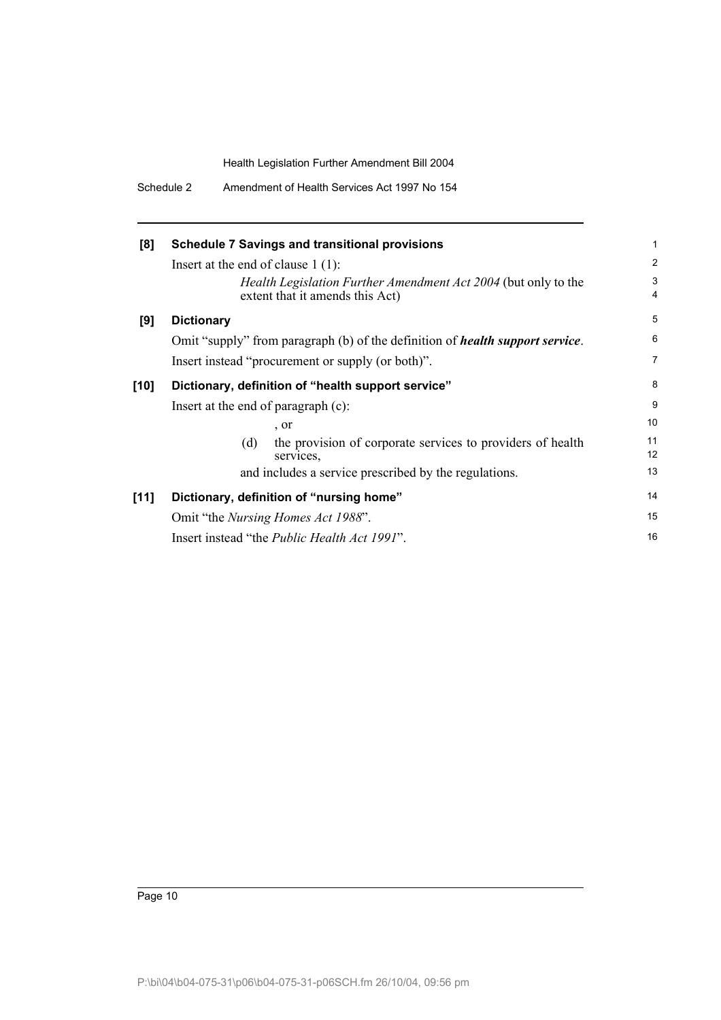Schedule 2 Amendment of Health Services Act 1997 No 154

| [8]    | <b>Schedule 7 Savings and transitional provisions</b>                                                    | 1                   |  |
|--------|----------------------------------------------------------------------------------------------------------|---------------------|--|
|        | Insert at the end of clause $1(1)$ :                                                                     | $\overline{2}$      |  |
|        | <i>Health Legislation Further Amendment Act 2004</i> (but only to the<br>extent that it amends this Act) | 3<br>$\overline{4}$ |  |
| [9]    | <b>Dictionary</b>                                                                                        | 5                   |  |
|        | Omit "supply" from paragraph (b) of the definition of <i>health support service</i> .                    | 6                   |  |
|        | Insert instead "procurement or supply (or both)".                                                        | $\overline{7}$      |  |
| $[10]$ | Dictionary, definition of "health support service"                                                       | 8                   |  |
|        | Insert at the end of paragraph (c):                                                                      | 9                   |  |
|        | $\Omega$                                                                                                 | 10                  |  |
|        | the provision of corporate services to providers of health<br>(d)<br>services,                           | 11<br>12            |  |
|        | and includes a service prescribed by the regulations.                                                    | 13                  |  |
| $[11]$ | Dictionary, definition of "nursing home"                                                                 | 14                  |  |
|        | Omit "the <i>Nursing Homes Act 1988"</i> .                                                               |                     |  |
|        | Insert instead "the <i>Public Health Act 1991"</i> .                                                     | 16                  |  |
|        |                                                                                                          |                     |  |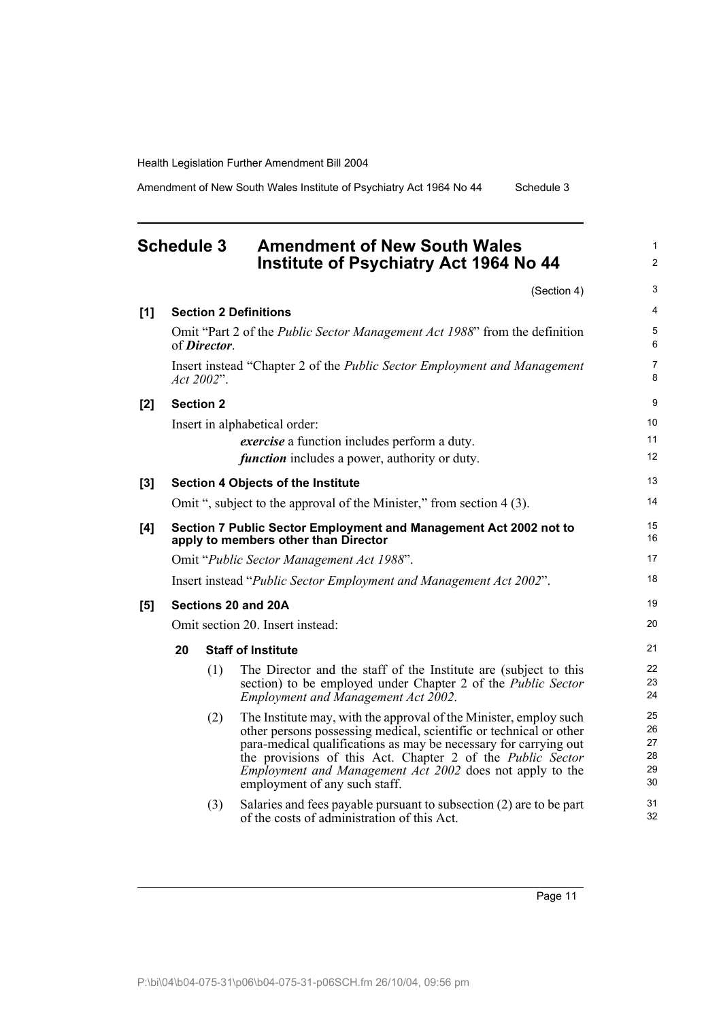Amendment of New South Wales Institute of Psychiatry Act 1964 No 44 Schedule 3

### <span id="page-12-0"></span>**Schedule 3 Amendment of New South Wales Institute of Psychiatry Act 1964 No 44**

(Section 4) **[1] Section 2 Definitions** Omit "Part 2 of the *Public Sector Management Act 1988*" from the definition of *Director*. Insert instead "Chapter 2 of the *Public Sector Employment and Management Act 2002*". **[2] Section 2** Insert in alphabetical order: *exercise* a function includes perform a duty. *function* includes a power, authority or duty. **[3] Section 4 Objects of the Institute** Omit ", subject to the approval of the Minister," from section 4 (3). **[4] Section 7 Public Sector Employment and Management Act 2002 not to apply to members other than Director** Omit "*Public Sector Management Act 1988*". Insert instead "*Public Sector Employment and Management Act 2002*". **[5] Sections 20 and 20A** Omit section 20. Insert instead: **20 Staff of Institute** (1) The Director and the staff of the Institute are (subject to this section) to be employed under Chapter 2 of the *Public Sector Employment and Management Act 2002*. (2) The Institute may, with the approval of the Minister, employ such other persons possessing medical, scientific or technical or other para-medical qualifications as may be necessary for carrying out the provisions of this Act. Chapter 2 of the *Public Sector Employment and Management Act 2002* does not apply to the employment of any such staff. (3) Salaries and fees payable pursuant to subsection (2) are to be part of the costs of administration of this Act. 3 4 5 6 7 8 9 10 11 12 13 14 15 16 17 18 19 20 21 22 23  $24$ 25 26 27 28 29 30 31 32

Page 11

1  $\mathcal{L}$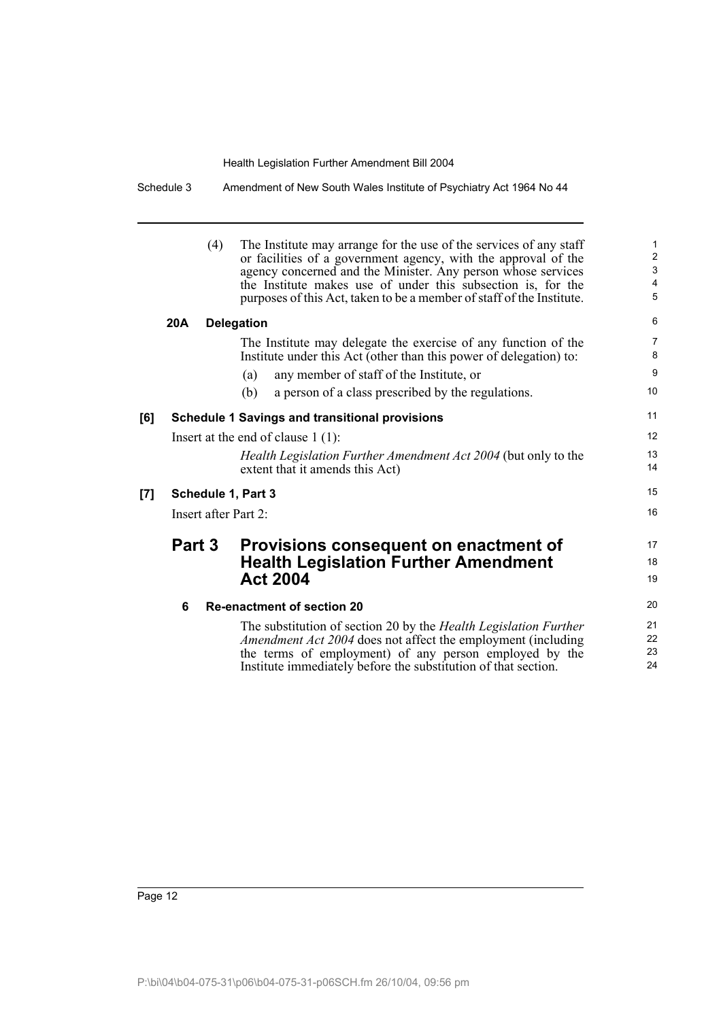Schedule 3 Amendment of New South Wales Institute of Psychiatry Act 1964 No 44

|     |                      | (4) | The Institute may arrange for the use of the services of any staff<br>or facilities of a government agency, with the approval of the<br>agency concerned and the Minister. Any person whose services<br>the Institute makes use of under this subsection is, for the<br>purposes of this Act, taken to be a member of staff of the Institute. | $\mathbf{1}$<br>$\overline{c}$<br>$\mathsf 3$<br>$\overline{\mathbf{4}}$<br>5 |  |
|-----|----------------------|-----|-----------------------------------------------------------------------------------------------------------------------------------------------------------------------------------------------------------------------------------------------------------------------------------------------------------------------------------------------|-------------------------------------------------------------------------------|--|
|     | <b>20A</b>           |     | <b>Delegation</b>                                                                                                                                                                                                                                                                                                                             | 6                                                                             |  |
|     |                      |     | The Institute may delegate the exercise of any function of the<br>Institute under this Act (other than this power of delegation) to:                                                                                                                                                                                                          | 7<br>8                                                                        |  |
|     |                      |     | any member of staff of the Institute, or<br>(a)                                                                                                                                                                                                                                                                                               | 9                                                                             |  |
|     |                      |     | (b)<br>a person of a class prescribed by the regulations.                                                                                                                                                                                                                                                                                     | 10                                                                            |  |
| [6] |                      |     | <b>Schedule 1 Savings and transitional provisions</b>                                                                                                                                                                                                                                                                                         | 11                                                                            |  |
|     |                      |     | Insert at the end of clause $1(1)$ :                                                                                                                                                                                                                                                                                                          | 12                                                                            |  |
|     |                      |     | Health Legislation Further Amendment Act 2004 (but only to the                                                                                                                                                                                                                                                                                | 13                                                                            |  |
|     |                      |     | extent that it amends this Act)                                                                                                                                                                                                                                                                                                               | 14                                                                            |  |
| [7] | Schedule 1, Part 3   |     |                                                                                                                                                                                                                                                                                                                                               | 15                                                                            |  |
|     | Insert after Part 2: |     |                                                                                                                                                                                                                                                                                                                                               |                                                                               |  |
|     | <b>Part 3</b>        |     | Provisions consequent on enactment of                                                                                                                                                                                                                                                                                                         | 17                                                                            |  |
|     |                      |     | <b>Health Legislation Further Amendment</b>                                                                                                                                                                                                                                                                                                   | 18                                                                            |  |
|     |                      |     | <b>Act 2004</b>                                                                                                                                                                                                                                                                                                                               | 19                                                                            |  |
|     | 6                    |     | <b>Re-enactment of section 20</b>                                                                                                                                                                                                                                                                                                             | 20                                                                            |  |
|     |                      |     | The substitution of section 20 by the <i>Health Legislation Further</i>                                                                                                                                                                                                                                                                       | 21                                                                            |  |
|     |                      |     | Amendment Act 2004 does not affect the employment (including                                                                                                                                                                                                                                                                                  | 22                                                                            |  |
|     |                      |     | the terms of employment) of any person employed by the                                                                                                                                                                                                                                                                                        | 23                                                                            |  |
|     |                      |     | Institute immediately before the substitution of that section.                                                                                                                                                                                                                                                                                | 24                                                                            |  |
|     |                      |     |                                                                                                                                                                                                                                                                                                                                               |                                                                               |  |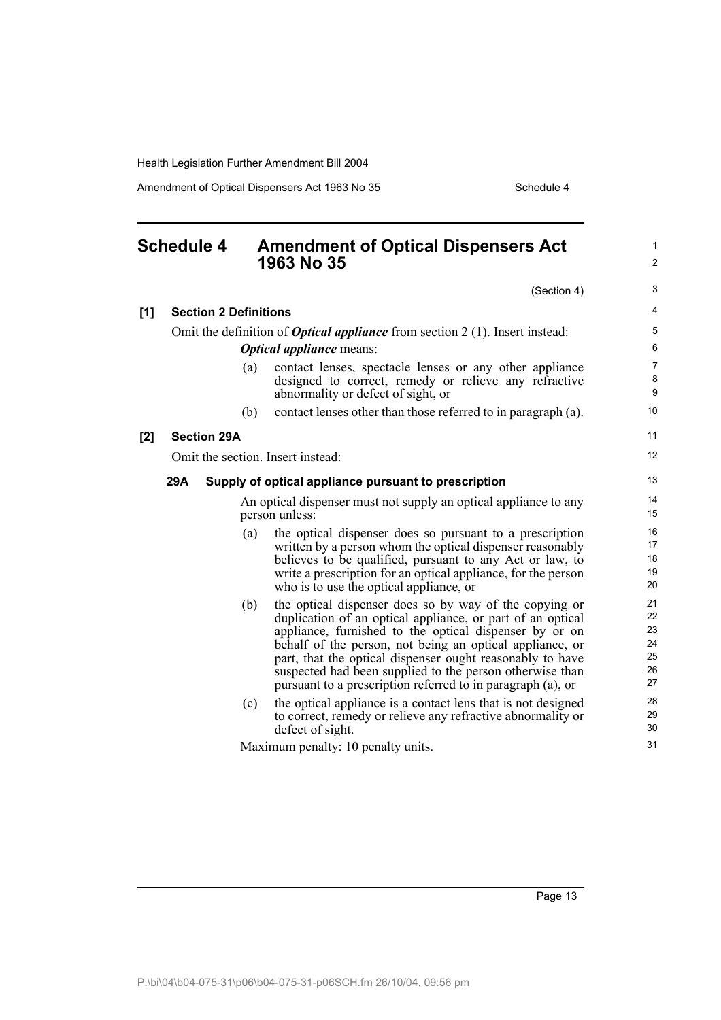$[1]$ 

**[2]** 

Amendment of Optical Dispensers Act 1963 No 35 Schedule 4

## <span id="page-14-0"></span>**Schedule 4 Amendment of Optical Dispensers Act 1963 No 35**

(Section 4)

1  $\overline{2}$ 

3

|                                                                                       |                    |                                                                                                                                                                                                                                                                                                                                                                                                                                    | $\overline{4}$                         |  |
|---------------------------------------------------------------------------------------|--------------------|------------------------------------------------------------------------------------------------------------------------------------------------------------------------------------------------------------------------------------------------------------------------------------------------------------------------------------------------------------------------------------------------------------------------------------|----------------------------------------|--|
| <b>Section 2 Definitions</b>                                                          |                    |                                                                                                                                                                                                                                                                                                                                                                                                                                    |                                        |  |
| Omit the definition of <b>Optical appliance</b> from section $2(1)$ . Insert instead: |                    |                                                                                                                                                                                                                                                                                                                                                                                                                                    |                                        |  |
|                                                                                       |                    | <i><b>Optical appliance means:</b></i>                                                                                                                                                                                                                                                                                                                                                                                             | 6                                      |  |
|                                                                                       | (a)                | contact lenses, spectacle lenses or any other appliance<br>designed to correct, remedy or relieve any refractive<br>abnormality or defect of sight, or                                                                                                                                                                                                                                                                             | $\overline{7}$<br>$\bf 8$<br>9         |  |
|                                                                                       | (b)                | contact lenses other than those referred to in paragraph (a).                                                                                                                                                                                                                                                                                                                                                                      | 10                                     |  |
|                                                                                       | <b>Section 29A</b> |                                                                                                                                                                                                                                                                                                                                                                                                                                    | 11                                     |  |
|                                                                                       |                    | Omit the section. Insert instead:                                                                                                                                                                                                                                                                                                                                                                                                  | 12                                     |  |
| 29A                                                                                   |                    | Supply of optical appliance pursuant to prescription                                                                                                                                                                                                                                                                                                                                                                               | 13                                     |  |
|                                                                                       |                    | An optical dispenser must not supply an optical appliance to any<br>person unless:                                                                                                                                                                                                                                                                                                                                                 | 14<br>15                               |  |
|                                                                                       | (a)                | the optical dispenser does so pursuant to a prescription<br>written by a person whom the optical dispenser reasonably<br>believes to be qualified, pursuant to any Act or law, to<br>write a prescription for an optical appliance, for the person<br>who is to use the optical appliance, or                                                                                                                                      | 16<br>17<br>18<br>19<br>20             |  |
|                                                                                       | (b)                | the optical dispenser does so by way of the copying or<br>duplication of an optical appliance, or part of an optical<br>appliance, furnished to the optical dispenser by or on<br>behalf of the person, not being an optical appliance, or<br>part, that the optical dispenser ought reasonably to have<br>suspected had been supplied to the person otherwise than<br>pursuant to a prescription referred to in paragraph (a), or | 21<br>22<br>23<br>24<br>25<br>26<br>27 |  |
|                                                                                       | (c)                | the optical appliance is a contact lens that is not designed<br>to correct, remedy or relieve any refractive abnormality or<br>defect of sight.                                                                                                                                                                                                                                                                                    | 28<br>29<br>30                         |  |
|                                                                                       |                    | Maximum penalty: 10 penalty units.                                                                                                                                                                                                                                                                                                                                                                                                 | 31                                     |  |
|                                                                                       |                    |                                                                                                                                                                                                                                                                                                                                                                                                                                    |                                        |  |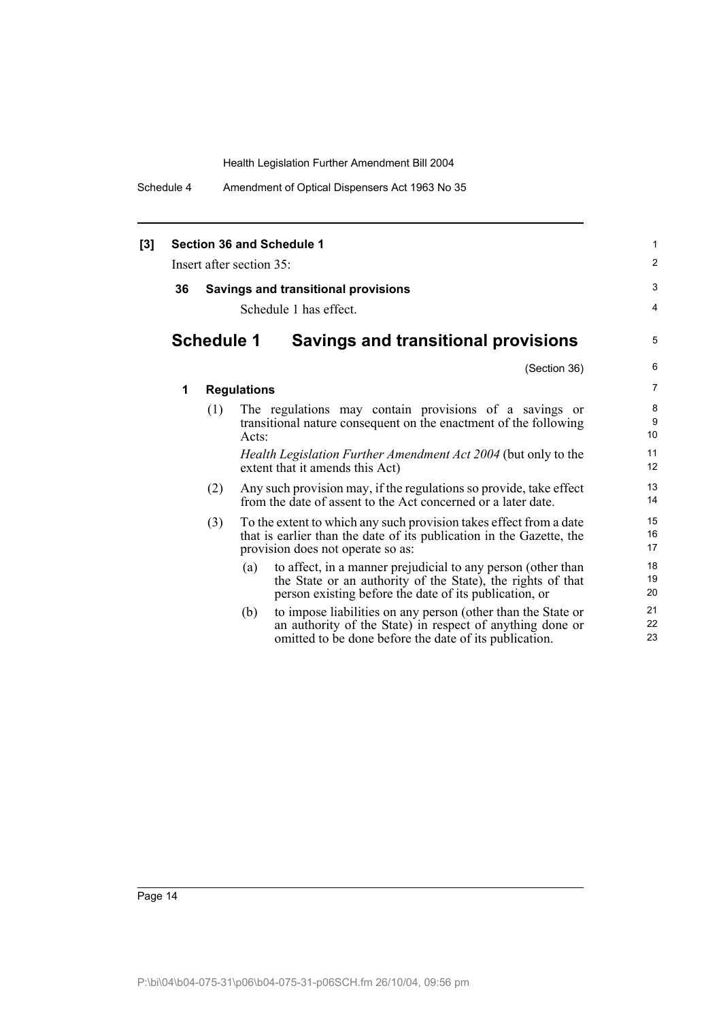Schedule 4 Amendment of Optical Dispensers Act 1963 No 35

| [3] | <b>Section 36 and Schedule 1</b> |                   |                    |                                                                                                                                                                                       | $\mathbf{1}$   |
|-----|----------------------------------|-------------------|--------------------|---------------------------------------------------------------------------------------------------------------------------------------------------------------------------------------|----------------|
|     | Insert after section 35:         |                   |                    |                                                                                                                                                                                       |                |
|     | 36                               |                   |                    | Savings and transitional provisions                                                                                                                                                   | 3              |
|     |                                  |                   |                    | Schedule 1 has effect.                                                                                                                                                                | 4              |
|     |                                  | <b>Schedule 1</b> |                    | <b>Savings and transitional provisions</b>                                                                                                                                            | 5              |
|     |                                  |                   |                    | (Section 36)                                                                                                                                                                          | 6              |
|     | 1                                |                   | <b>Regulations</b> |                                                                                                                                                                                       | $\overline{7}$ |
|     |                                  | (1)               | Acts:              | The regulations may contain provisions of a savings or<br>transitional nature consequent on the enactment of the following                                                            | 8<br>9<br>10   |
|     |                                  |                   |                    | <i>Health Legislation Further Amendment Act 2004</i> (but only to the<br>extent that it amends this Act)                                                                              | 11<br>12       |
|     |                                  | (2)               |                    | Any such provision may, if the regulations so provide, take effect<br>from the date of assent to the Act concerned or a later date.                                                   | 13<br>14       |
|     |                                  | (3)               |                    | To the extent to which any such provision takes effect from a date<br>that is earlier than the date of its publication in the Gazette, the<br>provision does not operate so as:       | 15<br>16<br>17 |
|     |                                  |                   | (a)                | to affect, in a manner prejudicial to any person (other than<br>the State or an authority of the State), the rights of that<br>person existing before the date of its publication, or | 18<br>19<br>20 |
|     |                                  |                   | (b)                | to impose liabilities on any person (other than the State or<br>an authority of the State) in respect of anything done or<br>omitted to be done before the date of its publication.   | 21<br>22<br>23 |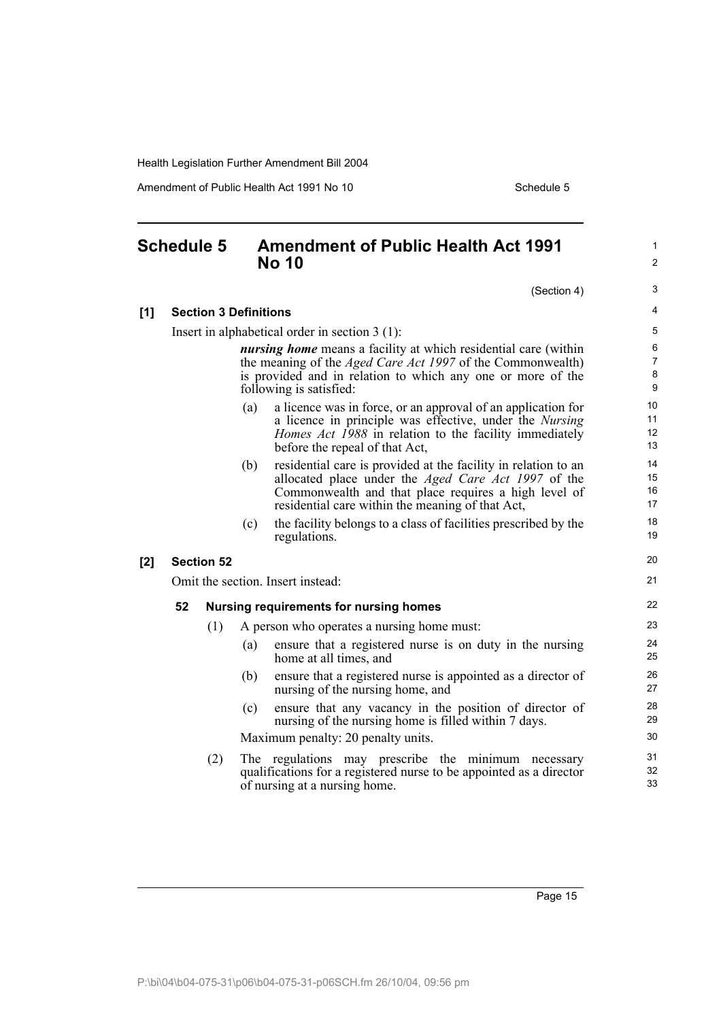Amendment of Public Health Act 1991 No 10 Schedule 5

1  $\overline{2}$ 

## <span id="page-16-0"></span>**Schedule 5 Amendment of Public Health Act 1991 No 10**

|       |    |                              |     | (Section 4)                                                                                                                                                                                                                                                                                                                                                                                                                                                                                                             | 3                                                          |
|-------|----|------------------------------|-----|-------------------------------------------------------------------------------------------------------------------------------------------------------------------------------------------------------------------------------------------------------------------------------------------------------------------------------------------------------------------------------------------------------------------------------------------------------------------------------------------------------------------------|------------------------------------------------------------|
| [1]   |    | <b>Section 3 Definitions</b> |     |                                                                                                                                                                                                                                                                                                                                                                                                                                                                                                                         | 4                                                          |
|       |    |                              | (a) | Insert in alphabetical order in section $3(1)$ :<br><i>nursing home</i> means a facility at which residential care (within<br>the meaning of the <i>Aged Care Act 1997</i> of the Commonwealth)<br>is provided and in relation to which any one or more of the<br>following is satisfied:<br>a licence was in force, or an approval of an application for<br>a licence in principle was effective, under the <i>Nursing</i><br>Homes Act 1988 in relation to the facility immediately<br>before the repeal of that Act, | 5<br>6<br>$\overline{7}$<br>8<br>9<br>10<br>11<br>12<br>13 |
|       |    |                              | (b) | residential care is provided at the facility in relation to an<br>allocated place under the <i>Aged Care Act 1997</i> of the<br>Commonwealth and that place requires a high level of<br>residential care within the meaning of that Act,                                                                                                                                                                                                                                                                                | 14<br>15<br>16<br>17                                       |
|       |    |                              | (c) | the facility belongs to a class of facilities prescribed by the<br>regulations.                                                                                                                                                                                                                                                                                                                                                                                                                                         | 18<br>19                                                   |
| $[2]$ |    | <b>Section 52</b>            |     |                                                                                                                                                                                                                                                                                                                                                                                                                                                                                                                         | 20                                                         |
|       |    |                              |     | Omit the section. Insert instead:                                                                                                                                                                                                                                                                                                                                                                                                                                                                                       | 21                                                         |
|       | 52 |                              |     | <b>Nursing requirements for nursing homes</b>                                                                                                                                                                                                                                                                                                                                                                                                                                                                           | 22                                                         |
|       |    | (1)                          |     | A person who operates a nursing home must:                                                                                                                                                                                                                                                                                                                                                                                                                                                                              | 23                                                         |
|       |    |                              | (a) | ensure that a registered nurse is on duty in the nursing<br>home at all times, and                                                                                                                                                                                                                                                                                                                                                                                                                                      | 24<br>25                                                   |
|       |    |                              | (b) | ensure that a registered nurse is appointed as a director of<br>nursing of the nursing home, and                                                                                                                                                                                                                                                                                                                                                                                                                        | 26<br>27                                                   |
|       |    |                              | (c) | ensure that any vacancy in the position of director of<br>nursing of the nursing home is filled within 7 days.                                                                                                                                                                                                                                                                                                                                                                                                          | 28<br>29                                                   |
|       |    |                              |     | Maximum penalty: 20 penalty units.                                                                                                                                                                                                                                                                                                                                                                                                                                                                                      | 30                                                         |
|       |    | (2)                          |     | The regulations may prescribe the minimum necessary<br>qualifications for a registered nurse to be appointed as a director<br>of nursing at a nursing home.                                                                                                                                                                                                                                                                                                                                                             | 31<br>32<br>33                                             |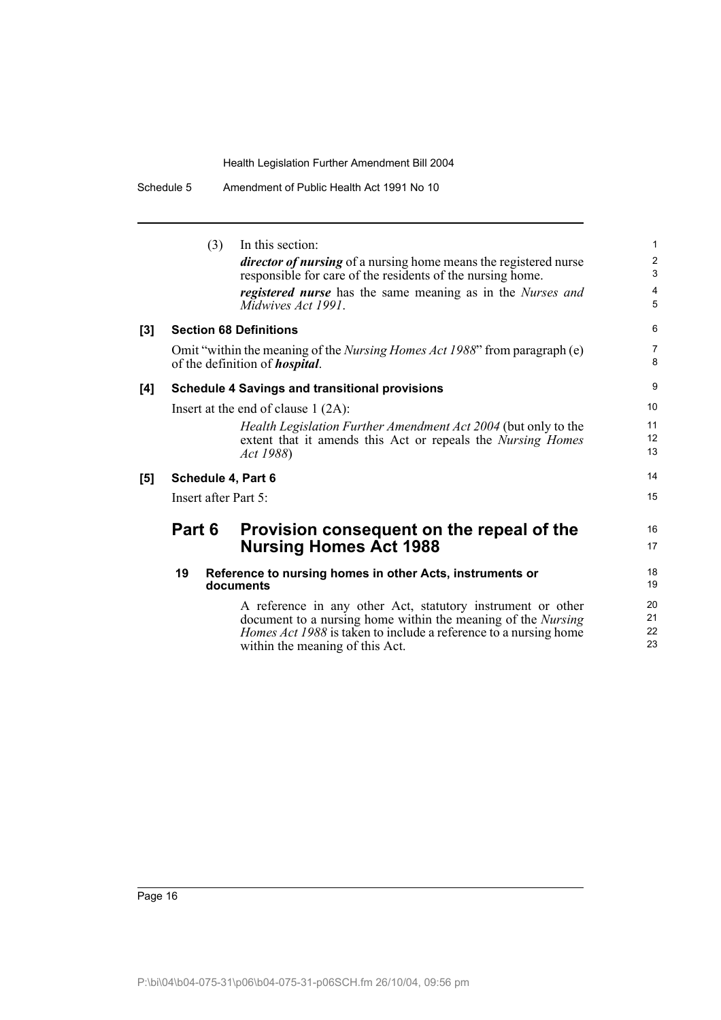Schedule 5 Amendment of Public Health Act 1991 No 10

|                                        | In this section:                                                                                                                                                                                                                                 | $\mathbf{1}$                                                                                                                                                                                                                                                                                                                                                                                                                                                                                                                                                                                                                           |  |  |  |
|----------------------------------------|--------------------------------------------------------------------------------------------------------------------------------------------------------------------------------------------------------------------------------------------------|----------------------------------------------------------------------------------------------------------------------------------------------------------------------------------------------------------------------------------------------------------------------------------------------------------------------------------------------------------------------------------------------------------------------------------------------------------------------------------------------------------------------------------------------------------------------------------------------------------------------------------------|--|--|--|
|                                        |                                                                                                                                                                                                                                                  | $\overline{c}$<br>3                                                                                                                                                                                                                                                                                                                                                                                                                                                                                                                                                                                                                    |  |  |  |
|                                        |                                                                                                                                                                                                                                                  | $\overline{4}$                                                                                                                                                                                                                                                                                                                                                                                                                                                                                                                                                                                                                         |  |  |  |
|                                        | <i>Midwives Act 1991.</i>                                                                                                                                                                                                                        | 5                                                                                                                                                                                                                                                                                                                                                                                                                                                                                                                                                                                                                                      |  |  |  |
|                                        |                                                                                                                                                                                                                                                  | 6                                                                                                                                                                                                                                                                                                                                                                                                                                                                                                                                                                                                                                      |  |  |  |
|                                        |                                                                                                                                                                                                                                                  | $\overline{7}$<br>8                                                                                                                                                                                                                                                                                                                                                                                                                                                                                                                                                                                                                    |  |  |  |
|                                        |                                                                                                                                                                                                                                                  | 9                                                                                                                                                                                                                                                                                                                                                                                                                                                                                                                                                                                                                                      |  |  |  |
| Insert at the end of clause $1 (2A)$ : |                                                                                                                                                                                                                                                  |                                                                                                                                                                                                                                                                                                                                                                                                                                                                                                                                                                                                                                        |  |  |  |
|                                        | Health Legislation Further Amendment Act 2004 (but only to the                                                                                                                                                                                   | 11                                                                                                                                                                                                                                                                                                                                                                                                                                                                                                                                                                                                                                     |  |  |  |
|                                        | extent that it amends this Act or repeals the Nursing Homes                                                                                                                                                                                      | 12                                                                                                                                                                                                                                                                                                                                                                                                                                                                                                                                                                                                                                     |  |  |  |
|                                        |                                                                                                                                                                                                                                                  | 13                                                                                                                                                                                                                                                                                                                                                                                                                                                                                                                                                                                                                                     |  |  |  |
|                                        |                                                                                                                                                                                                                                                  | 14                                                                                                                                                                                                                                                                                                                                                                                                                                                                                                                                                                                                                                     |  |  |  |
|                                        |                                                                                                                                                                                                                                                  | 15                                                                                                                                                                                                                                                                                                                                                                                                                                                                                                                                                                                                                                     |  |  |  |
|                                        |                                                                                                                                                                                                                                                  | 16                                                                                                                                                                                                                                                                                                                                                                                                                                                                                                                                                                                                                                     |  |  |  |
|                                        | <b>Nursing Homes Act 1988</b>                                                                                                                                                                                                                    | 17                                                                                                                                                                                                                                                                                                                                                                                                                                                                                                                                                                                                                                     |  |  |  |
| 19                                     |                                                                                                                                                                                                                                                  | 18<br>19                                                                                                                                                                                                                                                                                                                                                                                                                                                                                                                                                                                                                               |  |  |  |
|                                        | A reference in any other Act, statutory instrument or other<br>document to a nursing home within the meaning of the <i>Nursing</i><br><i>Homes Act 1988</i> is taken to include a reference to a nursing home<br>within the meaning of this Act. | 20<br>21<br>22<br>23                                                                                                                                                                                                                                                                                                                                                                                                                                                                                                                                                                                                                   |  |  |  |
|                                        |                                                                                                                                                                                                                                                  | (3)<br><i>director of nursing</i> of a nursing home means the registered nurse<br>responsible for care of the residents of the nursing home.<br><i>registered nurse</i> has the same meaning as in the <i>Nurses and</i><br><b>Section 68 Definitions</b><br>Omit "within the meaning of the <i>Nursing Homes Act 1988</i> " from paragraph (e)<br>of the definition of <i>hospital</i> .<br>Schedule 4 Savings and transitional provisions<br>Act 1988)<br>Schedule 4, Part 6<br>Insert after Part 5:<br>Part 6<br>Provision consequent on the repeal of the<br>Reference to nursing homes in other Acts, instruments or<br>documents |  |  |  |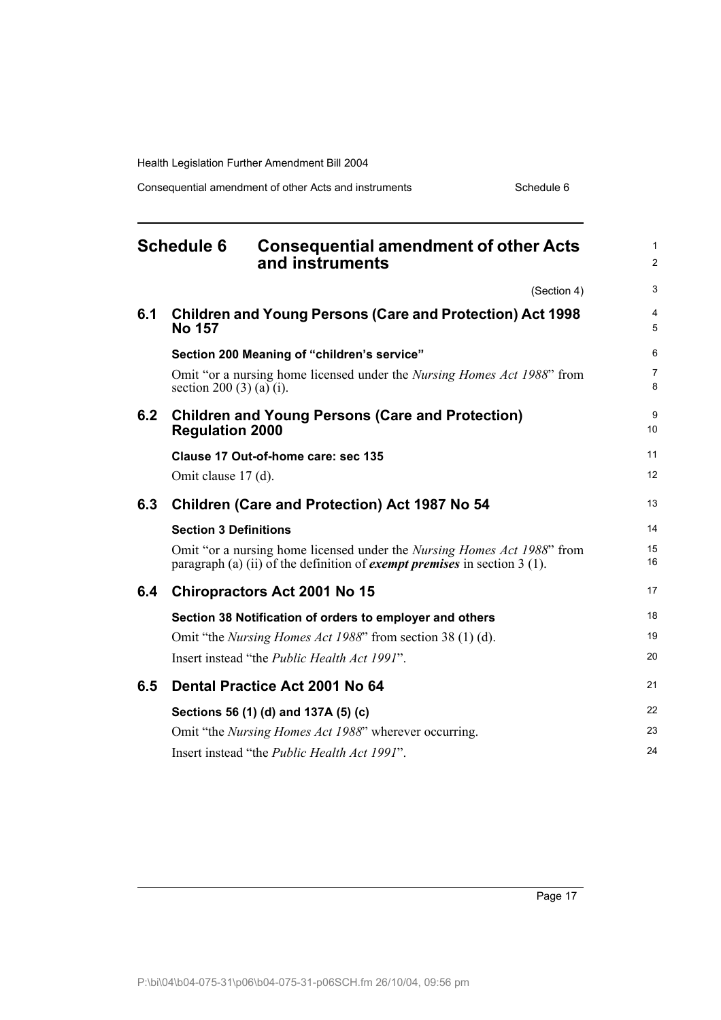Consequential amendment of other Acts and instruments Schedule 6

<span id="page-18-0"></span>

|     | <b>Consequential amendment of other Acts</b><br><b>Schedule 6</b><br>and instruments                                                                                  | $\mathbf{1}$<br>2   |
|-----|-----------------------------------------------------------------------------------------------------------------------------------------------------------------------|---------------------|
|     | (Section 4)                                                                                                                                                           | 3                   |
| 6.1 | <b>Children and Young Persons (Care and Protection) Act 1998</b><br><b>No 157</b>                                                                                     | 4<br>5              |
|     | Section 200 Meaning of "children's service"                                                                                                                           | 6                   |
|     | Omit "or a nursing home licensed under the <i>Nursing Homes Act 1988</i> " from<br>section 200 $(3)$ (a) $(i)$ .                                                      | $\overline{7}$<br>8 |
| 6.2 | <b>Children and Young Persons (Care and Protection)</b><br><b>Regulation 2000</b>                                                                                     | 9<br>10             |
|     | Clause 17 Out-of-home care: sec 135                                                                                                                                   | 11                  |
|     | Omit clause 17 (d).                                                                                                                                                   | 12                  |
| 6.3 | <b>Children (Care and Protection) Act 1987 No 54</b>                                                                                                                  | 13                  |
|     | <b>Section 3 Definitions</b>                                                                                                                                          | 14                  |
|     | Omit "or a nursing home licensed under the <i>Nursing Homes Act 1988</i> " from<br>paragraph (a) (ii) of the definition of <i>exempt premises</i> in section $3(1)$ . | 15<br>16            |
| 6.4 | <b>Chiropractors Act 2001 No 15</b>                                                                                                                                   | 17                  |
|     | Section 38 Notification of orders to employer and others                                                                                                              | 18                  |
|     | Omit "the <i>Nursing Homes Act 1988</i> " from section 38 (1) (d).                                                                                                    | 19                  |
|     | Insert instead "the <i>Public Health Act 1991"</i> .                                                                                                                  | 20                  |
| 6.5 | Dental Practice Act 2001 No 64                                                                                                                                        | 21                  |
|     | Sections 56 (1) (d) and 137A (5) (c)                                                                                                                                  | 22                  |
|     | Omit "the <i>Nursing Homes Act 1988</i> " wherever occurring.                                                                                                         | 23                  |
|     | Insert instead "the Public Health Act 1991".                                                                                                                          | 24                  |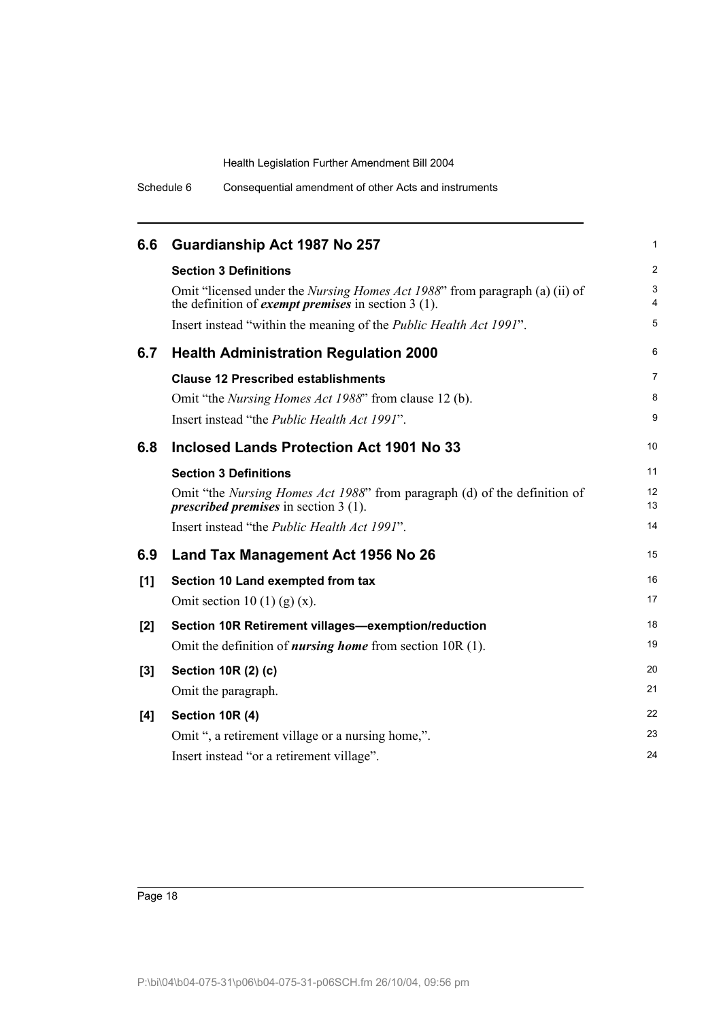Schedule 6 Consequential amendment of other Acts and instruments

| 6.6 | Guardianship Act 1987 No 257                                                                                                                        | 1              |
|-----|-----------------------------------------------------------------------------------------------------------------------------------------------------|----------------|
|     | <b>Section 3 Definitions</b>                                                                                                                        | $\overline{2}$ |
|     | Omit "licensed under the <i>Nursing Homes Act 1988</i> " from paragraph (a) (ii) of<br>the definition of <i>exempt premises</i> in section $3(1)$ . | 3<br>4         |
|     | Insert instead "within the meaning of the <i>Public Health Act 1991"</i> .                                                                          | 5              |
| 6.7 | <b>Health Administration Regulation 2000</b>                                                                                                        | 6              |
|     | <b>Clause 12 Prescribed establishments</b>                                                                                                          | 7              |
|     | Omit "the <i>Nursing Homes Act 1988</i> " from clause 12 (b).                                                                                       | 8              |
|     | Insert instead "the <i>Public Health Act 1991"</i> .                                                                                                | 9              |
| 6.8 | <b>Inclosed Lands Protection Act 1901 No 33</b>                                                                                                     | 10             |
|     | <b>Section 3 Definitions</b>                                                                                                                        | 11             |
|     | Omit "the Nursing Homes Act 1988" from paragraph (d) of the definition of<br><i>prescribed premises</i> in section $3(1)$ .                         | 12<br>13       |
|     | Insert instead "the <i>Public Health Act 1991"</i> .                                                                                                | 14             |
| 6.9 | Land Tax Management Act 1956 No 26                                                                                                                  | 15             |
| [1] | Section 10 Land exempted from tax                                                                                                                   | 16             |
|     | Omit section 10 (1) (g) $(x)$ .                                                                                                                     | 17             |
| [2] | Section 10R Retirement villages-exemption/reduction                                                                                                 | 18             |
|     | Omit the definition of <i>nursing home</i> from section 10R $(1)$ .                                                                                 | 19             |
| [3] | Section 10R (2) (c)                                                                                                                                 | 20             |
|     | Omit the paragraph.                                                                                                                                 | 21             |
| [4] | Section 10R (4)                                                                                                                                     | 22             |
|     | Omit ", a retirement village or a nursing home,".                                                                                                   | 23             |
|     | Insert instead "or a retirement village".                                                                                                           | 24             |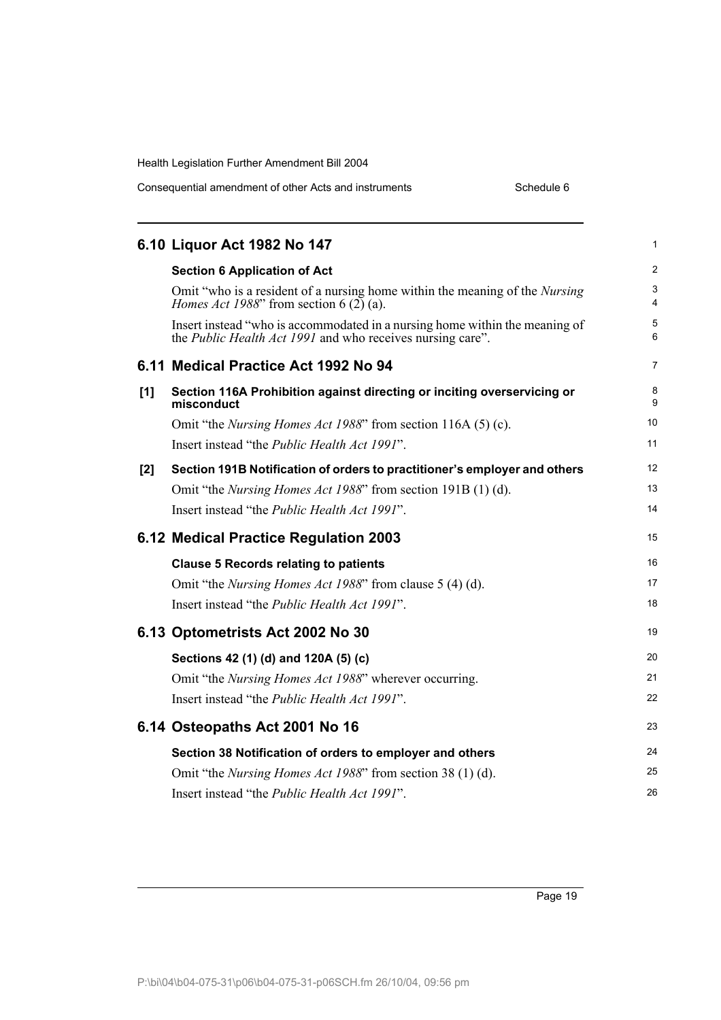| Consequential amendment of other Acts and instruments | Schedule 6 |
|-------------------------------------------------------|------------|
|-------------------------------------------------------|------------|

|     | 6.10 Liquor Act 1982 No 147                                                                                                                      | $\mathbf{1}$      |
|-----|--------------------------------------------------------------------------------------------------------------------------------------------------|-------------------|
|     | <b>Section 6 Application of Act</b>                                                                                                              | $\overline{2}$    |
|     | Omit "who is a resident of a nursing home within the meaning of the <i>Nursing</i><br>Homes Act 1988" from section 6 $(2)$ (a).                  | 3<br>4            |
|     | Insert instead "who is accommodated in a nursing home within the meaning of<br>the <i>Public Health Act 1991</i> and who receives nursing care". | 5<br>6            |
|     | 6.11 Medical Practice Act 1992 No 94                                                                                                             | $\overline{7}$    |
| [1] | Section 116A Prohibition against directing or inciting overservicing or<br>misconduct                                                            | 8<br>9            |
|     | Omit "the <i>Nursing Homes Act 1988</i> " from section 116A (5) (c).                                                                             | 10                |
|     | Insert instead "the <i>Public Health Act 1991"</i> .                                                                                             | 11                |
| [2] | Section 191B Notification of orders to practitioner's employer and others                                                                        | $12 \overline{ }$ |
|     | Omit "the <i>Nursing Homes Act 1988</i> " from section 191B (1) (d).                                                                             | 13                |
|     | Insert instead "the Public Health Act 1991".                                                                                                     | 14                |
|     | 6.12 Medical Practice Regulation 2003                                                                                                            | 15                |
|     | <b>Clause 5 Records relating to patients</b>                                                                                                     | 16                |
|     | Omit "the <i>Nursing Homes Act 1988</i> " from clause 5 (4) (d).                                                                                 | 17                |
|     | Insert instead "the <i>Public Health Act 1991"</i> .                                                                                             | 18                |
|     | 6.13 Optometrists Act 2002 No 30                                                                                                                 | 19                |
|     | Sections 42 (1) (d) and 120A (5) (c)                                                                                                             | 20                |
|     | Omit "the <i>Nursing Homes Act 1988</i> " wherever occurring.                                                                                    | 21                |
|     | Insert instead "the Public Health Act 1991".                                                                                                     | 22                |
|     | 6.14 Osteopaths Act 2001 No 16                                                                                                                   | 23                |
|     | Section 38 Notification of orders to employer and others                                                                                         | 24                |
|     | Omit "the <i>Nursing Homes Act 1988</i> " from section 38 (1) (d).                                                                               | 25                |
|     | Insert instead "the Public Health Act 1991".                                                                                                     | 26                |
|     |                                                                                                                                                  |                   |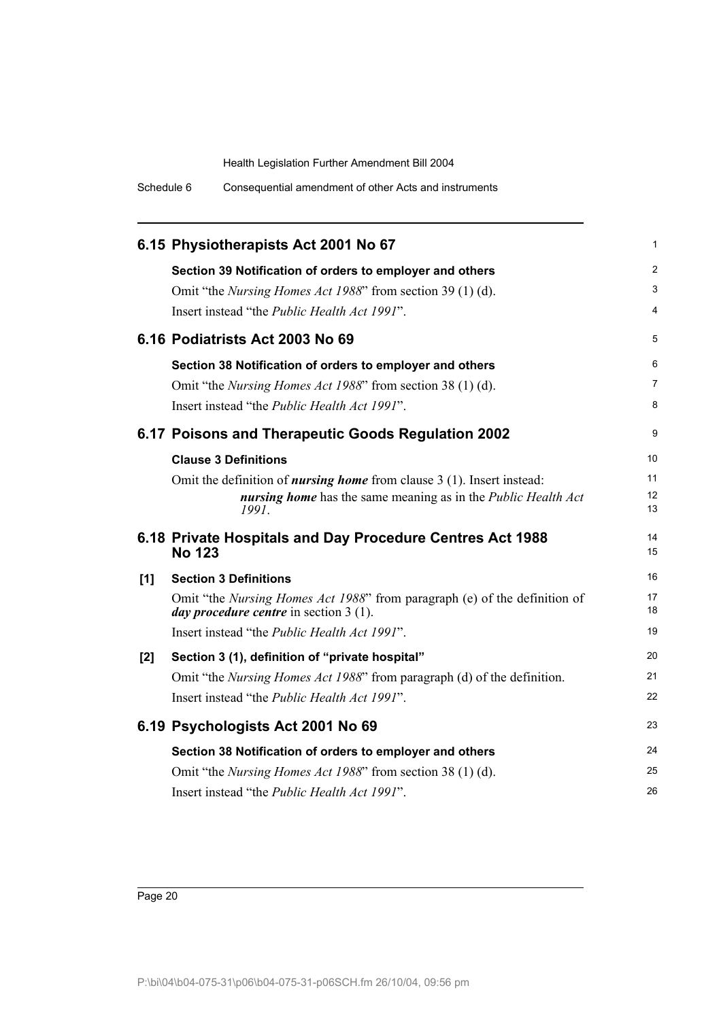Schedule 6 Consequential amendment of other Acts and instruments

|     | 6.15 Physiotherapists Act 2001 No 67                                                                                  | 1              |
|-----|-----------------------------------------------------------------------------------------------------------------------|----------------|
|     | Section 39 Notification of orders to employer and others                                                              | $\overline{2}$ |
|     | Omit "the <i>Nursing Homes Act 1988</i> " from section 39 (1) (d).                                                    | 3              |
|     | Insert instead "the Public Health Act 1991".                                                                          | 4              |
|     | 6.16 Podiatrists Act 2003 No 69                                                                                       | 5              |
|     | Section 38 Notification of orders to employer and others                                                              | 6              |
|     | Omit "the <i>Nursing Homes Act 1988</i> " from section 38 (1) (d).                                                    | 7              |
|     | Insert instead "the Public Health Act 1991".                                                                          | 8              |
|     | 6.17 Poisons and Therapeutic Goods Regulation 2002                                                                    | 9              |
|     | <b>Clause 3 Definitions</b>                                                                                           | 10             |
|     | Omit the definition of <i>nursing home</i> from clause $3(1)$ . Insert instead:                                       | 11             |
|     | <b>nursing home</b> has the same meaning as in the <i>Public Health Act</i><br>1991.                                  | 12<br>13       |
|     | 6.18 Private Hospitals and Day Procedure Centres Act 1988<br><b>No 123</b>                                            | 14<br>15       |
| [1] | <b>Section 3 Definitions</b>                                                                                          | 16             |
|     | Omit "the Nursing Homes Act 1988" from paragraph (e) of the definition of<br>day procedure centre in section $3(1)$ . | 17<br>18       |
|     | Insert instead "the Public Health Act 1991".                                                                          | 19             |
| [2] | Section 3 (1), definition of "private hospital"                                                                       | 20             |
|     | Omit "the <i>Nursing Homes Act 1988</i> " from paragraph (d) of the definition.                                       | 21             |
|     | Insert instead "the <i>Public Health Act 1991"</i> .                                                                  | 22             |
|     | 6.19 Psychologists Act 2001 No 69                                                                                     | 23             |
|     | Section 38 Notification of orders to employer and others                                                              | 24             |
|     | Omit "the <i>Nursing Homes Act 1988</i> " from section 38 (1) (d).                                                    | 25             |
|     | Insert instead "the Public Health Act 1991".                                                                          | 26             |